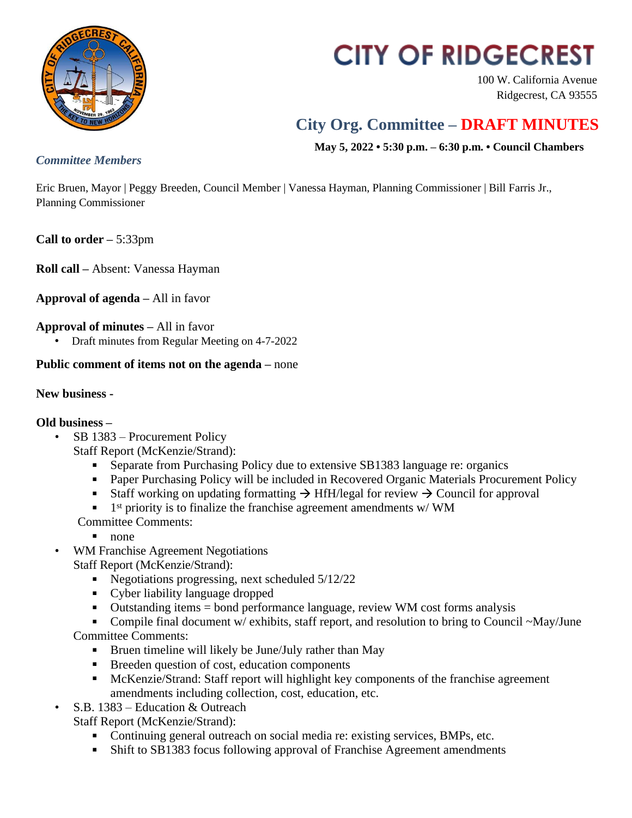

# **CITY OF RIDGECREST**

100 W. California Avenue Ridgecrest, CA 93555

## **City Org. Committee – DRAFT MINUTES**

 **May 5, 2022 • 5:30 p.m. – 6:30 p.m. • Council Chambers**

#### *Committee Members*

Eric Bruen, Mayor | Peggy Breeden, Council Member | Vanessa Hayman, Planning Commissioner | Bill Farris Jr., Planning Commissioner

**Call to order –** 5:33pm

**Roll call –** Absent: Vanessa Hayman

**Approval of agenda –** All in favor

### **Approval of minutes –** All in favor

• Draft minutes from Regular Meeting on 4-7-2022

### **Public comment of items not on the agenda –** none

#### **New business -**

#### **Old business –**

• SB 1383 – Procurement Policy

Staff Report (McKenzie/Strand):

- Separate from Purchasing Policy due to extensive SB1383 language re: organics
- Paper Purchasing Policy will be included in Recovered Organic Materials Procurement Policy
- Staff working on updating formatting  $\rightarrow$  HfH/legal for review  $\rightarrow$  Council for approval
- $\blacksquare$  1<sup>st</sup> priority is to finalize the franchise agreement amendments w/WM

Committee Comments:

- $\blacksquare$  none
- WM Franchise Agreement Negotiations Staff Report (McKenzie/Strand):
	- Negotiations progressing, next scheduled  $5/12/22$
	- Cyber liability language dropped
	- Outstanding items = bond performance language, review WM cost forms analysis

Compile final document w/ exhibits, staff report, and resolution to bring to Council  $-May/June$ Committee Comments:

- Bruen timeline will likely be June/July rather than May
- **Breeden question of cost, education components**
- McKenzie/Strand: Staff report will highlight key components of the franchise agreement amendments including collection, cost, education, etc.
- S.B. 1383 Education & Outreach

Staff Report (McKenzie/Strand):

- Continuing general outreach on social media re: existing services, BMPs, etc.
- Shift to SB1383 focus following approval of Franchise Agreement amendments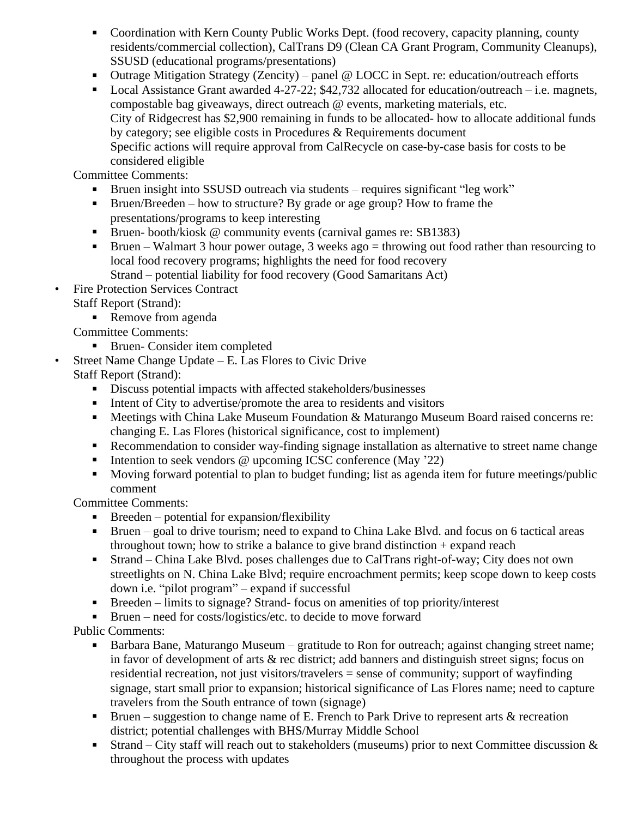- Coordination with Kern County Public Works Dept. (food recovery, capacity planning, county residents/commercial collection), CalTrans D9 (Clean CA Grant Program, Community Cleanups), SSUSD (educational programs/presentations)
- Outrage Mitigation Strategy (Zencity) panel  $\omega$  LOCC in Sept. re: education/outreach efforts
- Local Assistance Grant awarded 4-27-22; \$42,732 allocated for education/outreach i.e. magnets, compostable bag giveaways, direct outreach @ events, marketing materials, etc. City of Ridgecrest has \$2,900 remaining in funds to be allocated- how to allocate additional funds by category; see eligible costs in Procedures & Requirements document Specific actions will require approval from CalRecycle on case-by-case basis for costs to be considered eligible

Committee Comments:

- Bruen insight into SSUSD outreach via students requires significant "leg work"
- Bruen/Breeden how to structure? By grade or age group? How to frame the presentations/programs to keep interesting
- Bruen- booth/kiosk @ community events (carnival games re: SB1383)
- **Bruen** Walmart 3 hour power outage, 3 weeks ago = throwing out food rather than resourcing to local food recovery programs; highlights the need for food recovery Strand – potential liability for food recovery (Good Samaritans Act)
- Fire Protection Services Contract
	- Staff Report (Strand):
		- Remove from agenda

Committee Comments:

- Bruen- Consider item completed
- Street Name Change Update E. Las Flores to Civic Drive Staff Report (Strand):
	- Discuss potential impacts with affected stakeholders/businesses
	- $\blacksquare$  Intent of City to advertise/promote the area to residents and visitors
	- Meetings with China Lake Museum Foundation & Maturango Museum Board raised concerns re: changing E. Las Flores (historical significance, cost to implement)
	- Recommendation to consider way-finding signage installation as alternative to street name change
	- Intention to seek vendors  $\omega$  upcoming ICSC conference (May  $22$ )
	- **Moving forward potential to plan to budget funding; list as agenda item for future meetings/public** comment

Committee Comments:

- $\blacksquare$  Breeden potential for expansion/flexibility
- Bruen goal to drive tourism; need to expand to China Lake Blvd. and focus on 6 tactical areas throughout town; how to strike a balance to give brand distinction  $+$  expand reach
- Strand China Lake Blvd. poses challenges due to CalTrans right-of-way; City does not own streetlights on N. China Lake Blvd; require encroachment permits; keep scope down to keep costs down i.e. "pilot program" – expand if successful
- Breeden limits to signage? Strand- focus on amenities of top priority/interest

■ Bruen – need for costs/logistics/etc. to decide to move forward

Public Comments:

- Barbara Bane, Maturango Museum gratitude to Ron for outreach; against changing street name; in favor of development of arts & rec district; add banners and distinguish street signs; focus on residential recreation, not just visitors/travelers = sense of community; support of wayfinding signage, start small prior to expansion; historical significance of Las Flores name; need to capture travelers from the South entrance of town (signage)
- **Bruen** suggestion to change name of E. French to Park Drive to represent arts  $\&$  recreation district; potential challenges with BHS/Murray Middle School
- Strand City staff will reach out to stakeholders (museums) prior to next Committee discussion & throughout the process with updates